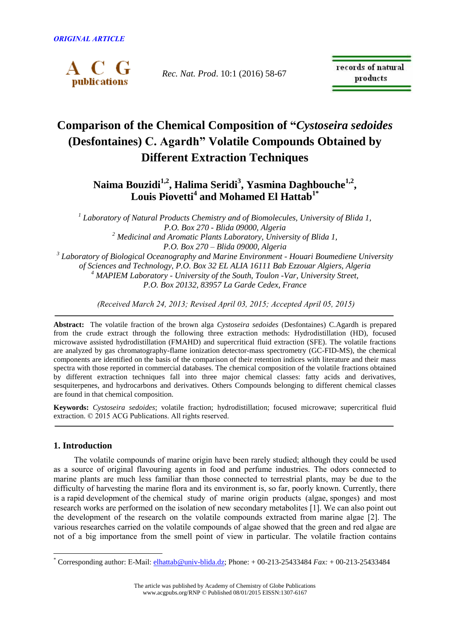

*Rec. Nat. Prod*. 10:1 (2016) 58-67

records of natural products

# **Comparison of the Chemical Composition of "***Cystoseira sedoides* **(Desfontaines) C. Agardh" Volatile Compounds Obtained by Different Extraction Techniques**

# **Naima Bouzidi1,2 , Halima Seridi<sup>3</sup> , Yasmina Daghbouche1,2 , Louis Piovetti<sup>4</sup> and Mohamed El Hattab1\***

*1 Laboratory of Natural Products Chemistry and of Biomolecules, University of Blida 1, P.O. Box 270 - Blida 09000, Algeria <sup>2</sup> Medicinal and Aromatic Plants Laboratory, University of Blida 1, P.O. Box 270 – Blida 09000, Algeria 3 Laboratory of Biological Oceanography and Marine Environment - Houari Boumediene University of Sciences and Technology, P.O. Box 32 EL ALIA 16111 Bab Ezzouar Algiers, Algeria <sup>4</sup> MAPIEM Laboratory - University of the South, Toulon -Var, University Street, P.O. Box 20132, 83957 La Garde Cedex, France*

*(Received March 24, 2013; Revised April 03, 2015; Accepted April 05, 2015)*

**Abstract:** The volatile fraction of the brown alga *Cystoseira sedoides* (Desfontaines) C.Agardh is prepared from the crude extract through the following three extraction methods: Hydrodistillation (HD), focused microwave assisted hydrodistillation (FMAHD) and supercritical fluid extraction (SFE). The volatile fractions are analyzed by gas chromatography-flame ionization detector-mass spectrometry (GC-FID-MS), the chemical components are identified on the basis of the comparison of their retention indices with literature and their mass spectra with those reported in commercial databases. The chemical composition of the volatile fractions obtained by different extraction techniques fall into three major chemical classes: fatty acids and derivatives, sesquiterpenes, and hydrocarbons and derivatives. Others Compounds belonging to different chemical classes are found in that chemical composition.

**Keywords:** *Cystoseira sedoides*; volatile fraction; hydrodistillation; focused microwave; supercritical fluid extraction. © 2015 ACG Publications. All rights reserved.

# **1. Introduction**

 $\overline{a}$ 

 The volatile compounds of marine origin have been rarely studied; although they could be used as a source of original flavouring agents in food and perfume industries. The odors connected to marine plants are much less familiar than those connected to terrestrial plants, may be due to the difficulty of harvesting the marine flora and its environment is, so far, poorly known. Currently, there is a rapid development of the chemical study of marine origin products (algae, sponges) and most research works are performed on the isolation of new secondary metabolites [1]. We can also point out the development of the research on the volatile compounds extracted from marine algae [2]. The various researches carried on the volatile compounds of algae showed that the green and red algae are not of a big importance from the smell point of view in particular. The volatile fraction contains

<sup>\*</sup> Corresponding author: E-Mail: [elhattab@univ-blida.dz;](mailto:elhattab@univ-blida.dz) Phone: + 00-213-25433484 *Fax:* + 00-213-25433484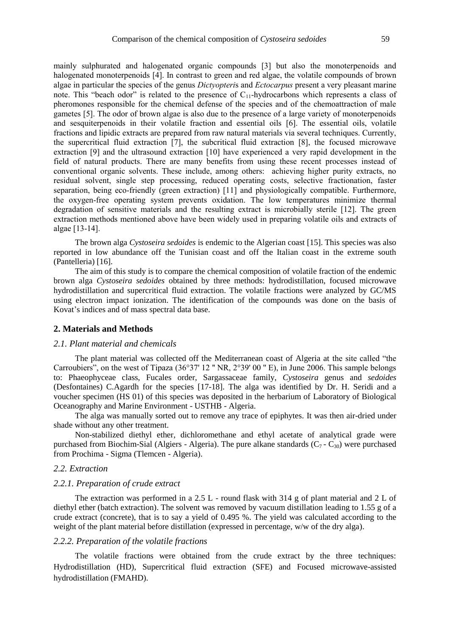mainly sulphurated and halogenated organic compounds [3] but also the monoterpenoids and halogenated monoterpenoids [4]. In contrast to green and red algae, the volatile compounds of brown algae in particular the species of the genus *Dictyopteri*s and *Ectocarpus* present a very pleasant marine note. This "beach odor" is related to the presence of  $C_{11}$ -hydrocarbons which represents a class of pheromones responsible for the chemical defense of the species and of the chemoattraction of male gametes [5]. The odor of brown algae is also due to the presence of a large variety of monoterpenoids and sesquiterpenoids in their volatile fraction and essential oils [6]. The essential oils, volatile fractions and lipidic extracts are prepared from raw natural materials via several techniques. Currently, the supercritical fluid extraction [7], the subcritical fluid extraction [8], the focused microwave extraction [9] and the ultrasound extraction [10] have experienced a very rapid development in the field of natural products. There are many benefits from using these recent processes instead of conventional organic solvents. These include, among others: achieving higher purity extracts, no residual solvent, single step processing, reduced operating costs, selective fractionation, faster separation, being eco-friendly (green extraction) [11] and physiologically compatible. Furthermore, the oxygen-free operating system prevents oxidation. The low temperatures minimize thermal degradation of sensitive materials and the resulting extract is microbially sterile [12]. The green extraction methods mentioned above have been widely used in preparing volatile oils and extracts of algae [13-14].

The brown alga *Cystoseira sedoides* is endemic to the Algerian coast [15]. This species was also reported in low abundance off the Tunisian coast and off the Italian coast in the extreme south (Pantelleria) [16].

The aim of this study is to compare the chemical composition of volatile fraction of the endemic brown alga *Cystoseira sedoides* obtained by three methods: hydrodistillation, focused microwave hydrodistillation and supercritical fluid extraction. The volatile fractions were analyzed by GC/MS using electron impact ionization. The identification of the compounds was done on the basis of Kovat's indices and of mass spectral data base.

#### **2. Materials and Methods**

#### *2.1. Plant material and chemicals*

The plant material was collected off the Mediterranean coast of Algeria at the site called "the Carroubiers", on the west of Tipaza (36°37' 12 '' NR, 2°39' 00 '' E), in June 2006. This sample belongs to: Phaeophyceae class, Fucales order, Sargassaceae family, *Cystoseira* genus and *sedoides*  (Desfontaines) C.Agardh for the species [17-18]. The alga was identified by Dr. H. Seridi and a voucher specimen (HS 01) of this species was deposited in the herbarium of Laboratory of Biological Oceanography and Marine Environment - USTHB - Algeria.

The alga was manually sorted out to remove any trace of epiphytes. It was then air-dried under shade without any other treatment.

Non-stabilized diethyl ether, dichloromethane and ethyl acetate of analytical grade were purchased from Biochim-Sial (Algiers - Algeria). The pure alkane standards  $(C_7 - C_{30})$  were purchased from Prochima - Sigma (Tlemcen - Algeria).

#### *2.2. Extraction*

#### *2.2.1. Preparation of crude extract*

The extraction was performed in a 2.5 L - round flask with 314 g of plant material and 2 L of diethyl ether (batch extraction). The solvent was removed by vacuum distillation leading to 1.55 g of a crude extract (concrete), that is to say a yield of 0.495 %. The yield was calculated according to the weight of the plant material before distillation (expressed in percentage, w/w of the dry alga).

#### *2.2.2. Preparation of the volatile fractions*

The volatile fractions were obtained from the crude extract by the three techniques: Hydrodistillation (HD), Supercritical fluid extraction (SFE) and Focused microwave-assisted hydrodistillation (FMAHD).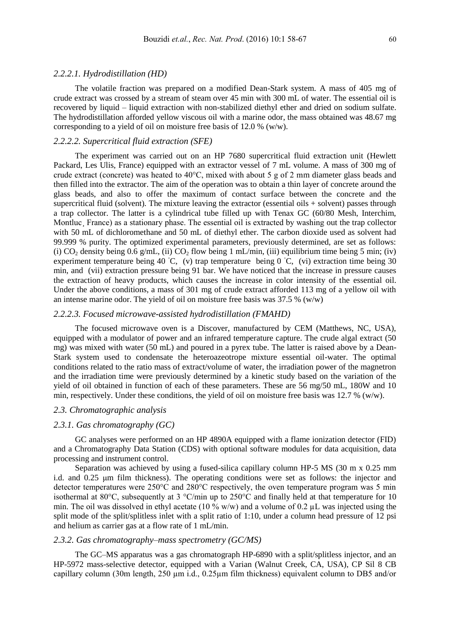#### *2.2.2.1. Hydrodistillation (HD)*

The volatile fraction was prepared on a modified Dean-Stark system. A mass of 405 mg of crude extract was crossed by a stream of steam over 45 min with 300 mL of water. The essential oil is recovered by liquid – liquid extraction with non-stabilized diethyl ether and dried on sodium sulfate. The hydrodistillation afforded yellow viscous oil with a marine odor, the mass obtained was 48.67 mg corresponding to a yield of oil on moisture free basis of 12.0 % (w/w).

## *2.2.2.2. Supercritical fluid extraction (SFE)*

The experiment was carried out on an HP 7680 supercritical fluid extraction unit (Hewlett Packard, Les Ulis, France) equipped with an extractor vessel of 7 mL volume. A mass of 300 mg of crude extract (concrete) was heated to 40°C, mixed with about 5 g of 2 mm diameter glass beads and then filled into the extractor. The aim of the operation was to obtain a thin layer of concrete around the glass beads, and also to offer the maximum of contact surface between the concrete and the supercritical fluid (solvent). The mixture leaving the extractor (essential oils + solvent) passes through a trap collector. The latter is a cylindrical tube filled up with Tenax GC (60/80 Mesh, Interchim, Montluc France) as a stationary phase. The essential oil is extracted by washing out the trap collector with 50 mL of dichloromethane and 50 mL of diethyl ether. The carbon dioxide used as solvent had 99.999 % purity. The optimized experimental parameters, previously determined, are set as follows: (i)  $CO_2$  density being 0.6 g/mL, (ii)  $CO_2$  flow being 1 mL/min, (iii) equilibrium time being 5 min; (iv) experiment temperature being 40 ◦C, (v) trap temperature being 0 ◦C, (vi) extraction time being 30 min, and (vii) extraction pressure being 91 bar. We have noticed that the increase in pressure causes the extraction of heavy products, which causes the increase in color intensity of the essential oil. Under the above conditions, a mass of 301 mg of crude extract afforded 113 mg of a yellow oil with an intense marine odor. The yield of oil on moisture free basis was  $37.5\%$  (w/w)

#### *2.2.2.3. Focused microwave-assisted hydrodistillation (FMAHD)*

The focused microwave oven is a Discover, manufactured by CEM (Matthews, NC, USA), equipped with a modulator of power and an infrared temperature capture. The crude algal extract (50 mg) was mixed with water (50 mL) and poured in a pyrex tube. The latter is raised above by a Dean-Stark system used to condensate the heteroazeotrope mixture essential oil-water. The optimal conditions related to the ratio mass of extract/volume of water, the irradiation power of the magnetron and the irradiation time were previously determined by a kinetic study based on the variation of the yield of oil obtained in function of each of these parameters. These are 56 mg/50 mL, 180W and 10 min, respectively. Under these conditions, the yield of oil on moisture free basis was 12.7 % (w/w).

#### *2.3. Chromatographic analysis*

#### *2.3.1. Gas chromatography (GC)*

GC analyses were performed on an HP 4890A equipped with a flame ionization detector (FID) and a Chromatography Data Station (CDS) with optional software modules for data acquisition, data processing and instrument control.

Separation was achieved by using a fused-silica capillary column HP-5 MS (30 m x 0.25 mm i.d. and 0.25 μm film thickness). The operating conditions were set as follows: the injector and detector temperatures were 250°C and 280°C respectively, the oven temperature program was 5 min isothermal at 80°C, subsequently at 3 °C/min up to 250°C and finally held at that temperature for 10 min. The oil was dissolved in ethyl acetate (10 % w/w) and a volume of 0.2  $\mu$ L was injected using the split mode of the split/splitless inlet with a split ratio of 1:10, under a column head pressure of 12 psi and helium as carrier gas at a flow rate of 1 mL/min.

# *2.3.2. Gas chromatography–mass spectrometry (GC/MS)*

The GC–MS apparatus was a gas chromatograph HP-6890 with a split/splitless injector, and an HP-5972 mass-selective detector, equipped with a Varian (Walnut Creek, CA, USA), CP Sil 8 CB capillary column (30m length, 250 µm i.d., 0.25µm film thickness) equivalent column to DB5 and/or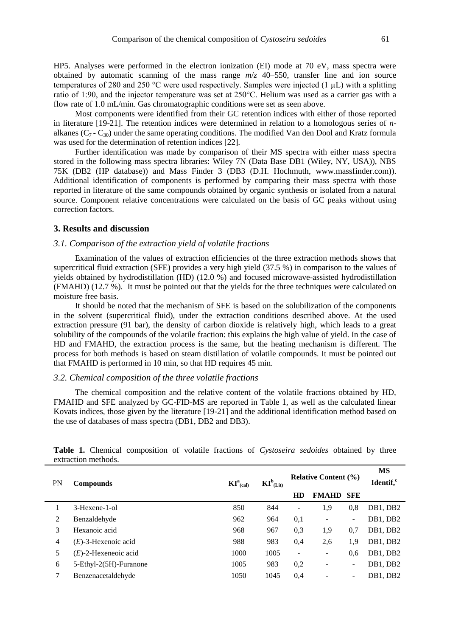HP5. Analyses were performed in the electron ionization (EI) mode at 70 eV, mass spectra were obtained by automatic scanning of the mass range *m*/*z* 40–550, transfer line and ion source temperatures of 280 and 250 °C were used respectively. Samples were injected (1 µL) with a splitting ratio of 1:90, and the injector temperature was set at 250°C. Helium was used as a carrier gas with a flow rate of 1.0 mL/min. Gas chromatographic conditions were set as seen above.

Most components were identified from their GC retention indices with either of those reported in literature [19-21]. The retention indices were determined in relation to a homologous series of *n*alkanes  $(C_7 - C_{30})$  under the same operating conditions. The modified Van den Dool and Kratz formula was used for the determination of retention indices [22].

Further identification was made by comparison of their MS spectra with either mass spectra stored in the following mass spectra libraries: Wiley 7N (Data Base DB1 (Wiley, NY, USA)), NBS 75K (DB2 (HP database)) and Mass Finder 3 (DB3 (D.H. Hochmuth, [www.massfinder.com\)\)](http://www.massfinder.com)/). Additional identification of components is performed by comparing their mass spectra with those reported in literature of the same compounds obtained by organic synthesis or isolated from a natural source. Component relative concentrations were calculated on the basis of GC peaks without using correction factors.

# **3. Results and discussion**

### *3.1. Comparison of the extraction yield of volatile fractions*

Examination of the values of extraction efficiencies of the three extraction methods shows that supercritical fluid extraction (SFE) provides a very high yield (37.5 %) in comparison to the values of yields obtained by hydrodistillation (HD) (12.0 %) and focused microwave-assisted hydrodistillation (FMAHD) (12.7 %). It must be pointed out that the yields for the three techniques were calculated on moisture free basis.

It should be noted that the mechanism of SFE is based on the solubilization of the components in the solvent (supercritical fluid), under the extraction conditions described above. At the used extraction pressure (91 bar), the density of carbon dioxide is relatively high, which leads to a great solubility of the compounds of the volatile fraction: this explains the high value of yield. In the case of HD and FMAHD, the extraction process is the same, but the heating mechanism is different. The process for both methods is based on steam distillation of volatile compounds. It must be pointed out that FMAHD is performed in 10 min, so that HD requires 45 min.

#### *3.2. Chemical composition of the three volatile fractions*

The chemical composition and the relative content of the volatile fractions obtained by HD, FMAHD and SFE analyzed by GC-FID-MS are reported in Table 1, as well as the calculated linear Kovats indices, those given by the literature [19-21] and the additional identification method based on the use of databases of mass spectra (DB1, DB2 and DB3).

| PN | <b>Compounds</b>        | $KI^a_{(cal)}$ | $KI^b$ <sub>(Lit)</sub> | <b>Relative Content (%)</b> |                          |                          | <b>MS</b><br>Identif, <sup>c</sup> |
|----|-------------------------|----------------|-------------------------|-----------------------------|--------------------------|--------------------------|------------------------------------|
|    |                         |                |                         | HD                          | <b>FMAHD</b>             | <b>SFE</b>               |                                    |
|    | 3-Hexene-1-ol           | 850            | 844                     | $\overline{\phantom{0}}$    | 1.9                      | 0.8                      | DB1, DB2                           |
| 2  | Benzaldehyde            | 962            | 964                     | 0,1                         |                          | $\overline{\phantom{a}}$ | DB1, DB2                           |
| 3  | Hexanoic acid           | 968            | 967                     | 0.3                         | 1.9                      | 0,7                      | DB1, DB2                           |
| 4  | $(E)$ -3-Hexenoic acid  | 988            | 983                     | 0.4                         | 2.6                      | 1.9                      | DB1, DB2                           |
| 5  | $(E)$ -2-Hexeneoic acid | 1000           | 1005                    | $\overline{\phantom{a}}$    | $\overline{\phantom{a}}$ | 0.6                      | DB1, DB2                           |
| 6  | 5-Ethyl-2(5H)-Furanone  | 1005           | 983                     | 0,2                         |                          | $\overline{\phantom{a}}$ | DB1, DB2                           |
|    | Benzenacetaldehyde      | 1050           | 1045                    | 0.4                         |                          | $\overline{\phantom{a}}$ | DB1, DB2                           |

**Table 1.** Chemical composition of volatile fractions of *Cystoseira sedoides* obtained by three extraction methods.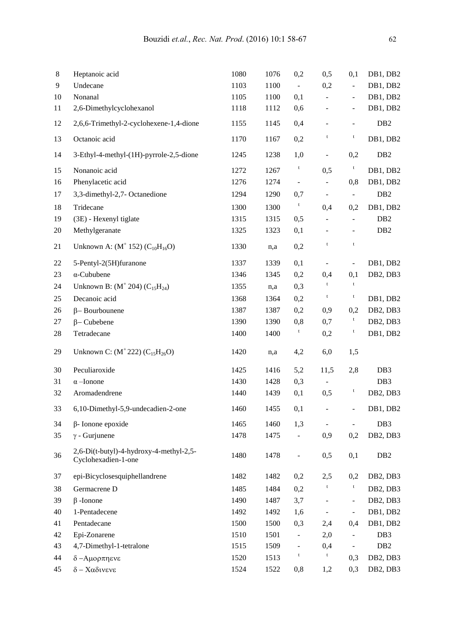| $\,8$ | Heptanoic acid                                                 | 1080 | 1076 | 0,2            | 0,5                      | 0,1                      | DB1, DB2                          |
|-------|----------------------------------------------------------------|------|------|----------------|--------------------------|--------------------------|-----------------------------------|
| 9     | Undecane                                                       | 1103 | 1100 | $\Box$         | 0,2                      | $\overline{a}$           | DB1, DB2                          |
| 10    | Nonanal                                                        | 1105 | 1100 | 0,1            | $\overline{\phantom{m}}$ | $\frac{1}{2}$            | DB1, DB2                          |
| 11    | 2,6-Dimethylcyclohexanol                                       | 1118 | 1112 | 0,6            | $\overline{\phantom{0}}$ | $\overline{\phantom{a}}$ | DB1, DB2                          |
| 12    | 2,6,6-Trimethyl-2-cyclohexene-1,4-dione                        | 1155 | 1145 | 0,4            |                          | $\overline{\phantom{a}}$ | DB <sub>2</sub>                   |
| 13    | Octanoic acid                                                  | 1170 | 1167 | 0,2            | t                        | $\mathbf t$              | DB1, DB2                          |
| 14    | 3-Ethyl-4-methyl-(1H)-pyrrole-2,5-dione                        | 1245 | 1238 | 1,0            | $\qquad \qquad -$        | 0,2                      | DB <sub>2</sub>                   |
| 15    | Nonanoic acid                                                  | 1272 | 1267 | t              | 0,5                      | t                        | DB1, DB2                          |
| 16    | Phenylacetic acid                                              | 1276 | 1274 | $\blacksquare$ | $\frac{1}{2}$            | 0,8                      | DB1, DB2                          |
| 17    | 3,3-dimethyl-2,7- Octanedione                                  | 1294 | 1290 | 0,7            | $\overline{\phantom{a}}$ | $\blacksquare$           | DB <sub>2</sub>                   |
| 18    | Tridecane                                                      | 1300 | 1300 | $\mathbf{t}$   | 0,4                      | 0,2                      | DB1, DB2                          |
| 19    | (3E) - Hexenyl tiglate                                         | 1315 | 1315 | 0,5            |                          | $\bar{\phantom{a}}$      | DB <sub>2</sub>                   |
| 20    | Methylgeranate                                                 | 1325 | 1323 | 0,1            |                          | $\overline{\phantom{0}}$ | D <sub>B</sub> 2                  |
| 21    | Unknown A: $(M^+ 152)$ $(C_{10}H_{16}O)$                       | 1330 | n,a  | 0,2            | $\mathsf t$              | $\mathbf t$              |                                   |
| 22    | 5-Pentyl-2(5H)furanone                                         | 1337 | 1339 | 0,1            | $\frac{1}{2}$            | $\blacksquare$           | DB1, DB2                          |
| 23    | $\alpha$ -Cububene                                             | 1346 | 1345 | 0,2            | 0,4                      | 0,1                      | DB2, DB3                          |
| 24    | Unknown B: $(M^+ 204)$ $(C_{15}H_{24})$                        | 1355 | n,a  | 0,3            | $^\mathrm{t}$            | $\mathbf t$              |                                   |
| 25    | Decanoic acid                                                  | 1368 | 1364 | 0,2            | $\mathsf t$              | $\mathbf t$              | DB1, DB2                          |
| 26    | $\beta$ -Bourbounene                                           | 1387 | 1387 | 0,2            | 0,9                      | 0,2                      | DB <sub>2</sub> , DB <sub>3</sub> |
| 27    | $\beta$ – Cubebene                                             | 1390 | 1390 | 0,8            | 0,7                      | t                        | DB <sub>2</sub> , DB <sub>3</sub> |
| 28    | Tetradecane                                                    | 1400 | 1400 | t              | 0,2                      | t                        | DB1, DB2                          |
| 29    | Unknown C: $(M^+ 222)$ $(C_{15}H_{26}O)$                       | 1420 | n,a  | 4,2            | 6,0                      | 1,5                      |                                   |
| 30    | Peculiaroxide                                                  | 1425 | 1416 | 5,2            | 11,5                     | 2,8                      | DB <sub>3</sub>                   |
| 31    | $\alpha$ -Ionone                                               | 1430 | 1428 | 0,3            |                          |                          | DB <sub>3</sub>                   |
| 32    | Aromadendrene                                                  | 1440 | 1439 | 0,1            | 0,5                      | t                        | DB2, DB3                          |
| 33    | 6,10-Dimethyl-5,9-undecadien-2-one                             | 1460 | 1455 | 0,1            |                          |                          | DB1, DB2                          |
| 34    | $\beta$ - Ionone epoxide                                       | 1465 | 1460 | 1,3            | $\blacksquare$           | $\blacksquare$           | DB <sub>3</sub>                   |
| 35    | $\gamma$ - Gurjunene                                           | 1478 | 1475 | $\blacksquare$ | 0,9                      | 0,2                      | DB2, DB3                          |
| 36    | 2,6-Di(t-butyl)-4-hydroxy-4-methyl-2,5-<br>Cyclohexadien-1-one | 1480 | 1478 | Ĭ.             | 0,5                      | 0,1                      | DB <sub>2</sub>                   |
| 37    | epi-Bicyclosesquiphellandrene                                  | 1482 | 1482 | 0,2            | 2,5                      | 0,2                      | DB <sub>2</sub> , DB <sub>3</sub> |
| 38    | Germacrene D                                                   | 1485 | 1484 | 0,2            | $\mathsf t$              | t                        | DB <sub>2</sub> , DB <sub>3</sub> |
| 39    | $\beta$ -Ionone                                                | 1490 | 1487 | 3,7            |                          | $\overline{\phantom{a}}$ | DB <sub>2</sub> , DB <sub>3</sub> |
| 40    | 1-Pentadecene                                                  | 1492 | 1492 | 1,6            | $\blacksquare$           | $\overline{\phantom{a}}$ | DB1, DB2                          |
| 41    | Pentadecane                                                    | 1500 | 1500 | 0,3            | 2,4                      | 0,4                      | DB1, DB2                          |
| 42    | Epi-Zonarene                                                   | 1510 | 1501 | $\blacksquare$ | 2,0                      | $\overline{\phantom{a}}$ | DB <sub>3</sub>                   |
| 43    | 4,7-Dimethyl-1-tetralone                                       | 1515 | 1509 | $\blacksquare$ | 0,4                      | $\overline{\phantom{0}}$ | DB <sub>2</sub>                   |
| 44    | δ-Αμορπηενε                                                    | 1520 | 1513 | t              | t                        | 0,3                      | DB2, DB3                          |
| 45    | $\delta$ – Χαδινενε                                            | 1524 | 1522 | 0,8            | 1,2                      | 0,3                      | DB2, DB3                          |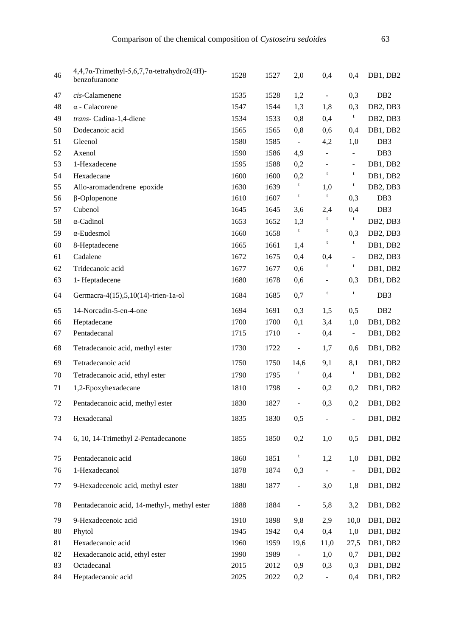| 46 | $4,4,7\alpha$ -Trimethyl-5,6,7,7 $\alpha$ -tetrahydro2(4H)-<br>benzofuranone | 1528 | 1527 | 2,0                          | 0,4                          | 0,4                          | DB1, DB2                          |
|----|------------------------------------------------------------------------------|------|------|------------------------------|------------------------------|------------------------------|-----------------------------------|
| 47 | $cis$ -Calamenene                                                            | 1535 | 1528 | 1,2                          | $\blacksquare$               | 0,3                          | DB <sub>2</sub>                   |
| 48 | $\alpha$ - Calacorene                                                        | 1547 | 1544 | 1,3                          | 1,8                          | 0,3                          | DB <sub>2</sub> , DB <sub>3</sub> |
| 49 | trans- Cadina-1,4-diene                                                      | 1534 | 1533 | 0,8                          | 0,4                          | $\mathfrak{t}$               | DB <sub>2</sub> , DB <sub>3</sub> |
| 50 | Dodecanoic acid                                                              | 1565 | 1565 | 0,8                          | 0,6                          | 0,4                          | DB1, DB2                          |
| 51 | Gleenol                                                                      | 1580 | 1585 | $\overline{\phantom{a}}$     | 4,2                          | 1,0                          | DB <sub>3</sub>                   |
| 52 | Axenol                                                                       | 1590 | 1586 | 4,9                          | $\blacksquare$               | $\overline{a}$               | DB <sub>3</sub>                   |
| 53 | 1-Hexadecene                                                                 | 1595 | 1588 | 0,2                          | $\qquad \qquad \blacksquare$ | $\qquad \qquad -$            | DB1, DB2                          |
| 54 | Hexadecane                                                                   | 1600 | 1600 | 0,2                          | t                            | $\mathsf t$                  | DB1, DB2                          |
| 55 | Allo-aromadendrene epoxide                                                   | 1630 | 1639 | $\mathbf{t}$                 | 1,0                          | t                            | DB2, DB3                          |
| 56 | $\beta$ -Oplopenone                                                          | 1610 | 1607 | $\mathfrak{r}$               | $\mathbf t$                  | 0,3                          | DB <sub>3</sub>                   |
| 57 | Cubenol                                                                      | 1645 | 1645 | 3,6                          | 2,4                          | 0,4                          | DB <sub>3</sub>                   |
| 58 | $\alpha$ -Cadinol                                                            | 1653 | 1652 | 1,3                          | $\mathsf t$                  | $\mathfrak{t}$               | DB <sub>2</sub> , DB <sub>3</sub> |
| 59 | $\alpha$ -Eudesmol                                                           | 1660 | 1658 | $\mathbf t$                  | $\mathsf t$                  | 0,3                          | DB <sub>2</sub> , DB <sub>3</sub> |
| 60 | 8-Heptadecene                                                                | 1665 | 1661 | 1,4                          | t                            | $\mathsf t$                  | DB1, DB2                          |
| 61 | Cadalene                                                                     | 1672 | 1675 | 0,4                          | 0,4                          | $\overline{\phantom{a}}$     | DB <sub>2</sub> , DB <sub>3</sub> |
| 62 | Tridecanoic acid                                                             | 1677 | 1677 | 0,6                          | $\mathsf t$                  | $\mathbf t$                  | DB1, DB2                          |
| 63 | 1- Heptadecene                                                               | 1680 | 1678 | 0,6                          | $\blacksquare$               | 0,3                          | DB1, DB2                          |
| 64 | Germacra-4(15),5,10(14)-trien-1a-ol                                          | 1684 | 1685 | 0,7                          | $\mathsf t$                  | $\mathbf t$                  | DB <sub>3</sub>                   |
| 65 | 14-Norcadin-5-en-4-one                                                       | 1694 | 1691 | 0,3                          | 1,5                          | 0,5                          | DB <sub>2</sub>                   |
| 66 | Heptadecane                                                                  | 1700 | 1700 | 0,1                          | 3,4                          | 1,0                          | DB1, DB2                          |
| 67 | Pentadecanal                                                                 | 1715 | 1710 | $\blacksquare$               | 0,4                          | $\overline{\phantom{0}}$     | DB1, DB2                          |
| 68 | Tetradecanoic acid, methyl ester                                             | 1730 | 1722 | $\qquad \qquad \blacksquare$ | 1,7                          | 0,6                          | DB1, DB2                          |
| 69 | Tetradecanoic acid                                                           | 1750 | 1750 | 14,6                         | 9,1                          | 8,1                          | DB1, DB2                          |
| 70 | Tetradecanoic acid, ethyl ester                                              | 1790 | 1795 | $\mathsf t$                  | 0,4                          | t                            | DB1, DB2                          |
| 71 | 1,2-Epoxyhexadecane                                                          | 1810 | 1798 | $\Box$                       | 0,2                          | 0,2                          | DB1, DB2                          |
| 72 | Pentadecanoic acid, methyl ester                                             | 1830 | 1827 | $\overline{\phantom{a}}$     | 0,3                          | 0,2                          | DB1, DB2                          |
| 73 | Hexadecanal                                                                  | 1835 | 1830 | 0,5                          |                              | $\qquad \qquad \blacksquare$ | DB1, DB2                          |
| 74 | 6, 10, 14-Trimethyl 2-Pentadecanone                                          | 1855 | 1850 | 0,2                          | 1,0                          | 0,5                          | DB1, DB2                          |
| 75 | Pentadecanoic acid                                                           | 1860 | 1851 | t                            | 1,2                          | 1,0                          | DB1, DB2                          |
| 76 | 1-Hexadecanol                                                                | 1878 | 1874 | 0,3                          |                              | $\blacksquare$               | DB1, DB2                          |
| 77 | 9-Hexadecenoic acid, methyl ester                                            | 1880 | 1877 | $\Box$                       | 3,0                          | 1,8                          | DB1, DB2                          |
| 78 | Pentadecanoic acid, 14-methyl-, methyl ester                                 | 1888 | 1884 | $\blacksquare$               | 5,8                          | 3,2                          | DB1, DB2                          |
| 79 | 9-Hexadecenoic acid                                                          | 1910 | 1898 | 9,8                          | 2,9                          | 10,0                         | DB1, DB2                          |
| 80 | Phytol                                                                       | 1945 | 1942 | 0,4                          | 0,4                          | 1,0                          | DB1, DB2                          |
| 81 | Hexadecanoic acid                                                            | 1960 | 1959 | 19,6                         | 11,0                         | 27,5                         | DB1, DB2                          |
| 82 | Hexadecanoic acid, ethyl ester                                               | 1990 | 1989 | $\blacksquare$               | 1,0                          | 0,7                          | DB1, DB2                          |
| 83 | Octadecanal                                                                  | 2015 | 2012 | 0,9                          | 0,3                          | 0,3                          | DB1, DB2                          |
| 84 | Heptadecanoic acid                                                           | 2025 | 2022 | 0,2                          |                              | 0,4                          | DB1, DB2                          |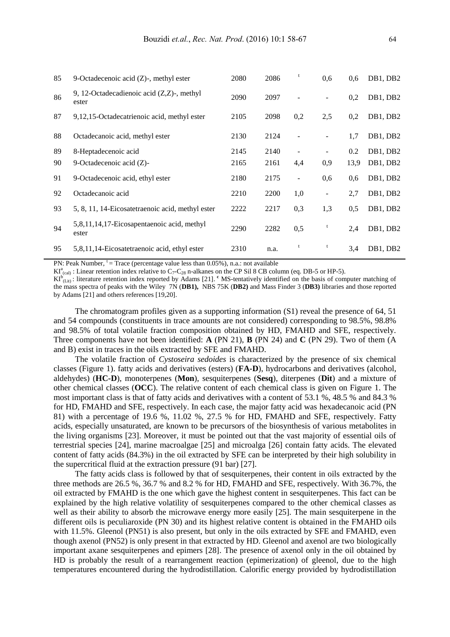| 85 | 9-Octadecenoic acid $(Z)$ -, methyl ester             | 2080 | 2086 | t                        | 0,6                      | 0,6  | DB1, DB2 |
|----|-------------------------------------------------------|------|------|--------------------------|--------------------------|------|----------|
| 86 | 9, 12-Octadecadienoic acid $(Z,Z)$ -, methyl<br>ester | 2090 | 2097 |                          |                          | 0,2  | DB1, DB2 |
| 87 | 9,12,15-Octadecatrienoic acid, methyl ester           | 2105 | 2098 | 0,2                      | 2,5                      | 0,2  | DB1, DB2 |
| 88 | Octadecanoic acid, methyl ester                       | 2130 | 2124 |                          |                          | 1,7  | DB1, DB2 |
| 89 | 8-Heptadecenoic acid                                  | 2145 | 2140 |                          |                          | 0.2  | DB1, DB2 |
| 90 | 9-Octadecenoic acid $(Z)$ -                           | 2165 | 2161 | 4,4                      | 0.9                      | 13,9 | DB1, DB2 |
| 91 | 9-Octadecenoic acid, ethyl ester                      | 2180 | 2175 | $\overline{\phantom{a}}$ | 0,6                      | 0.6  | DB1, DB2 |
| 92 | Octadecanoic acid                                     | 2210 | 2200 | 1,0                      | $\overline{\phantom{a}}$ | 2,7  | DB1, DB2 |
| 93 | 5, 8, 11, 14-Eicosatetraenoic acid, methyl ester      | 2222 | 2217 | 0,3                      | 1,3                      | 0,5  | DB1, DB2 |
| 94 | 5,8,11,14,17-Eicosapentaenoic acid, methyl<br>ester   | 2290 | 2282 | 0,5                      |                          | 2,4  | DB1, DB2 |
| 95 | 5,8,11,14-Eicosatetraenoic acid, ethyl ester          | 2310 | n.a. | t                        | t                        | 3,4  | DB1, DB2 |

PN: Peak Number,  $t = Trace$  (percentage value less than 0.05%), n.a.: not available

 $KI^a_{(cal)}$ : Linear retention index relative to  $C_7$ -C<sub>28</sub> n-alkanes on the CP Sil 8 CB column (eq. DB-5 or HP-5).

 $KL^{b}$ <sub>(Lit)</sub>: literature retention index reported by Adams [21]. <sup>c</sup> MS-tentatively identified on the basis of computer matching of the mass spectra of peaks with the Wiley 7N (**DB1),** NBS 75K (**DB2)** and Mass Finder 3 (**DB3)** libraries and those reported by Adams [21] and others references [19,20].

The chromatogram profiles given as a supporting information (S1) reveal the presence of 64, 51 and 54 compounds (constituents in trace amounts are not considered) corresponding to 98.5%, 98.8% and 98.5% of total volatile fraction composition obtained by HD, FMAHD and SFE, respectively. Three components have not been identified: **A** (PN 21), **B** (PN 24) and **C** (PN 29). Two of them (A and B) exist in traces in the oils extracted by SFE and FMAHD.

The volatile fraction of *Cystoseira sedoides* is characterized by the presence of six chemical classes (Figure 1). fatty acids and derivatives (esters) (**FA-D**), hydrocarbons and derivatives (alcohol, aldehydes) (**HC-D**), monoterpenes (**Mon**), sesquiterpenes (**Sesq**), diterpenes (**Dit**) and a mixture of other chemical classes (**OCC**). The relative content of each chemical class is given on Figure 1. The most important class is that of fatty acids and derivatives with a content of 53.1 %, 48.5 % and 84.3 % for HD, FMAHD and SFE, respectively. In each case, the major fatty acid was hexadecanoic acid (PN 81) with a percentage of 19.6 %, 11.02 %, 27.5 % for HD, FMAHD and SFE, respectively. Fatty acids, especially unsaturated, are known to be precursors of the biosynthesis of various metabolites in the living organisms [23]. Moreover, it must be pointed out that the vast majority of essential oils of terrestrial species [24], marine macroalgae [25] and microalga [26] contain fatty acids. The elevated content of fatty acids (84.3%) in the oil extracted by SFE can be interpreted by their high solubility in the supercritical fluid at the extraction pressure (91 bar) [27].

The fatty acids class is followed by that of sesquiterpenes, their content in oils extracted by the three methods are 26.5 %, 36.7 % and 8.2 % for HD, FMAHD and SFE, respectively. With 36.7%, the oil extracted by FMAHD is the one which gave the highest content in sesquiterpenes. This fact can be explained by the high relative volatility of sesquiterpenes compared to the other chemical classes as well as their ability to absorb the microwave energy more easily [25]. The main sesquiterpene in the different oils is peculiaroxide (PN 30) and its highest relative content is obtained in the FMAHD oils with 11.5%. Gleenol (PN51) is also present, but only in the oils extracted by SFE and FMAHD, even though axenol (PN52) is only present in that extracted by HD. Gleenol and axenol are two biologically important axane sesquiterpenes and epimers [28]. The presence of axenol only in the oil obtained by HD is probably the result of a rearrangement reaction (epimerization) of gleenol, due to the high temperatures encountered during the hydrodistillation. Calorific energy provided by hydrodistillation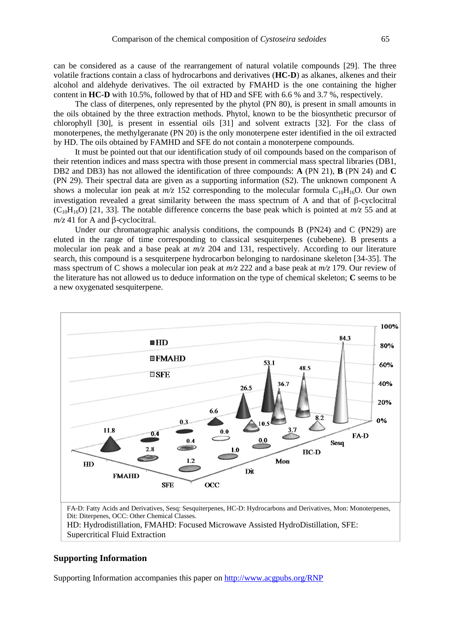can be considered as a cause of the rearrangement of natural volatile compounds [29]. The three volatile fractions contain a class of hydrocarbons and derivatives (**HC-D**) as alkanes, alkenes and their alcohol and aldehyde derivatives. The oil extracted by FMAHD is the one containing the higher content in **HC-D** with 10.5%, followed by that of HD and SFE with 6.6 % and 3.7 %, respectively.

The class of diterpenes, only represented by the phytol (PN 80), is present in small amounts in the oils obtained by the three extraction methods. Phytol, known to be the biosynthetic precursor of chlorophyll [30], is present in essential oils [31] and solvent extracts [32]. For the class of monoterpenes, the methylgeranate (PN 20) is the only monoterpene ester identified in the oil extracted by HD. The oils obtained by FAMHD and SFE do not contain a monoterpene compounds.

It must be pointed out that our identification study of oil compounds based on the comparison of their retention indices and mass spectra with those present in commercial mass spectral libraries (DB1, DB2 and DB3) has not allowed the identification of three compounds: **A** (PN 21), **B** (PN 24) and **C**  (PN 29). Their spectral data are given as a supporting information (S2). The unknown component A shows a molecular ion peak at  $m/z$  152 corresponding to the molecular formula C<sub>10</sub>H<sub>16</sub>O. Our own investigation revealed a great similarity between the mass spectrum of A and that of  $\beta$ -cyclocitral  $(C_{10}H_{16}O)$  [21, 33]. The notable difference concerns the base peak which is pointed at  $m/z$  55 and at  $m/z$  41 for A and  $\beta$ -cyclocitral.

Under our chromatographic analysis conditions, the compounds B (PN24) and C (PN29) are eluted in the range of time corresponding to classical sesquiterpenes (cubebene). B presents a molecular ion peak and a base peak at *m/z* 204 and 131, respectively. According to our literature search, this compound is a sesquiterpene hydrocarbon belonging to nardosinane skeleton [34-35]. The mass spectrum of C shows a molecular ion peak at *m/z* 222 and a base peak at *m/z* 179. Our review of the literature has not allowed us to deduce information on the type of chemical skeleton; **C** seems to be a new oxygenated sesquiterpene.



Dit: Diterpenes, OCC: Other Chemical Classes.

HD: Hydrodistillation, FMAHD: Focused Microwave Assisted HydroDistillation, SFE: Supercritical Fluid Extraction

#### **Supporting Information**

Supporting Information accompanies this paper on<http://www.acgpubs.org/RNP>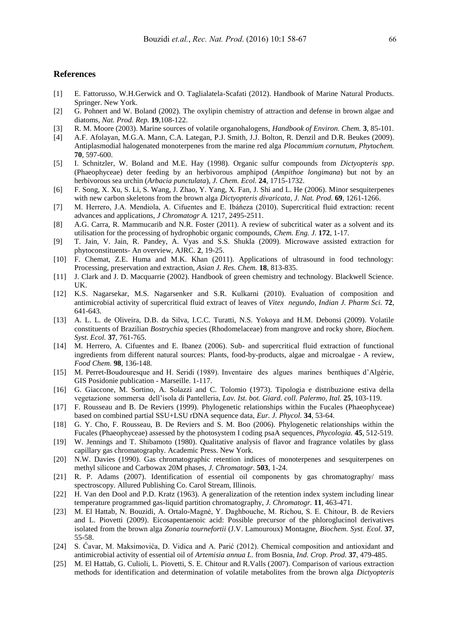#### **References**

- [1] E. Fattorusso, W.H.Gerwick and O. Taglialatela-Scafati (2012). Handbook of Marine Natural Products. Springer. New York.
- [2] G. Pohnert and W. Boland (2002). The oxylipin chemistry of attraction and defense in brown algae and diatoms, *Nat. Prod. Rep.* **19**,108-122.
- [3] R. M. Moore (2003). Marine sources of volatile organohalogens, *Handbook of Environ. Chem.* **3**, 85-101.
- [4] A.F. Afolayan, M.G.A. Mann, C.A. Lategan, P.J. Smith, J.J. Bolton, R. Denzil and D.R. Beukes (2009). Antiplasmodial halogenated monoterpenes from the marine red alga *Plocammium cornutum, Phytochem.* **70**, 597-600.
- [5] I. Schnitzler, W. Boland and M.E. Hay (1998). Organic sulfur compounds from *Dictyopteris spp*. (Phaeophyceae) deter feeding by an herbivorous amphipod (*Ampithoe longimana*) but not by an herbivorous sea urchin (*Arbacia punctulata*), *J. Chem. Ecol.* **24**, 1715-1732.
- [6] F. Song, X. Xu, S. Li, S. Wang, J. Zhao, Y. Yang, X. Fan, J. Shi and L. He (2006). Minor sesquiterpenes with new carbon skeletons from the brown alga *Dictyopteris divaricata, J. Nat. Prod.* **69**, 1261-1266.
- [7] M. Herrero, J.A. Mendiola, A. Cifuentes and E. Ibáňeza (2010). Supercritical fluid extraction: recent advances and applications, *J Chromatogr A.* 1217, 2495-2511.
- [8] A.G. Carra, R. Mammucarib and N.R. Foster (2011). A review of subcritical water as a solvent and its utilisation for the processing of hydrophobic organic compounds, *Chem. Eng. J.* **172**, 1-17.
- [9] T. Jain, V. Jain, R. Pandey, A. Vyas and S.S. Shukla (2009). Microwave assisted extraction for phytoconstituents- An overview, AJRC. **2**, 19-25.
- [10] F. Chemat, Z.E. Huma and M.K. Khan (2011). Applications of ultrasound in food technology: Processing, preservation and extraction, *Asian J. Res. Chem.* **18**, 813-835.
- [11] J. Clark and J. D. Macquarrie (2002). Handbook of green chemistry and technology. Blackwell Science. UK.
- [12] K.S. Nagarsekar, M.S. Nagarsenker and S.R. Kulkarni (2010). Evaluation of composition and antimicrobial activity of supercritical fluid extract of leaves of *Vitex negundo, Indian J. Pharm Sci.* **72**, 641-643.
- [13] A. L. L. de Oliveira, D.B. da Silva, I.C.C. Turatti, N.S. Yokoya and H.M. Debonsi (2009). Volatile constituents of Brazilian *Bostrychia* species (Rhodomelaceae) from mangrove and rocky shore, *Biochem. Syst. Ecol.* **37**, 761-765.
- [14] M. Herrero, A. Cifuentes and E. Ibanez (2006). Sub- and supercritical fluid extraction of functional ingredients from different natural sources: Plants, food-by-products, algae and microalgae - A review, *Food Chem.* **98**, 136-148.
- [15] M. Perret-Boudouresque and H. Seridi (1989). Inventaire des algues marines benthiques d'Algérie, GIS Posidonie publication - Marseille. 1-117.
- [16] G. Giaccone, M. Sortino, A. Solazzi and C. Tolomio (1973). Tipologia e distribuzione estiva della vegetazione sommersa dell'isola di Pantelleria, *Lav. Ist. bot. Giard. coll. Palermo, Ital.* **25**, 103-119.
- [17] F. Rousseau and B. De Reviers (1999). Phylogenetic relationships within the Fucales (Phaeophyceae) based on combined partial SSU+LSU rDNA sequence data, *Eur. J. Phycol.* **34**, 53-64.
- [18] G. Y. Cho, F. Rousseau, B. De Reviers and S. M. Boo (2006). Phylogenetic relationships within the Fucales (Phaeophyceae) assessed by the photosystem I coding psaA sequences, *Phycologia.* **45**, 512-519.
- [19] W. Jennings and T. Shibamoto (1980). Qualitative analysis of flavor and fragrance volatiles by glass capillary gas chromatography. Academic Press. New York.
- [20] N.W. Davies (1990). Gas chromatographic retention indices of monoterpenes and sesquiterpenes on methyl silicone and Carbowax 20M phases, *J. Chromatogr.* **503**, 1-24.
- [21] R. P. Adams (2007). Identification of essential oil components by gas chromatography/ mass spectroscopy. Allured Publishing Co. Carol Stream, Illinois.
- [22] H. Van den Dool and P.D. Kratz (1963). A generalization of the retention index system including linear temperature programmed gas-liquid partition chromatography, *J. Chromatogr.* **11**, 463-471.
- [23] M. El Hattab, N. Bouzidi, A. Ortalo-Magné, Y. Daghbouche, M. Richou, S. E. Chitour, B. de Reviers and L. Piovetti (2009). Eicosapentaenoic acid: Possible precursor of the phloroglucinol derivatives isolated from the brown alga *Zonaria tournefortii* (J.V. Lamouroux) Montagne, *Biochem. Syst. Ecol.* **37**, 55-58.
- [24] S. Ćavar, M. Maksimovića, D. Vidica and A. Parić (2012). Chemical composition and antioxidant and antimicrobial activity of essential oil of *Artemisia annua L*. from Bosnia, *Ind. Crop. Prod.* **37**, 479-485.
- [25] M. El Hattab, G. Culioli, L. Piovetti, S. E. Chitour and R.Valls (2007). Comparison of various extraction methods for identification and determination of volatile metabolites from the brown alga *Dictyopteris*